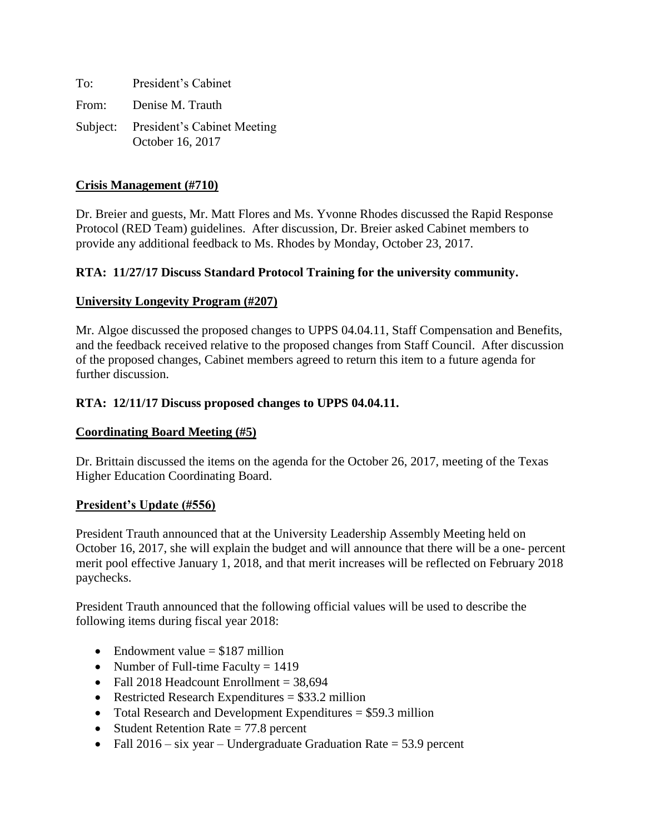To: President's Cabinet From: Denise M. Trauth Subject: President's Cabinet Meeting October 16, 2017

## **Crisis Management (#710)**

Dr. Breier and guests, Mr. Matt Flores and Ms. Yvonne Rhodes discussed the Rapid Response Protocol (RED Team) guidelines. After discussion, Dr. Breier asked Cabinet members to provide any additional feedback to Ms. Rhodes by Monday, October 23, 2017.

## **RTA: 11/27/17 Discuss Standard Protocol Training for the university community.**

### **University Longevity Program (#207)**

Mr. Algoe discussed the proposed changes to UPPS 04.04.11, Staff Compensation and Benefits, and the feedback received relative to the proposed changes from Staff Council. After discussion of the proposed changes, Cabinet members agreed to return this item to a future agenda for further discussion.

## **RTA: 12/11/17 Discuss proposed changes to UPPS 04.04.11.**

### **Coordinating Board Meeting (#5)**

Dr. Brittain discussed the items on the agenda for the October 26, 2017, meeting of the Texas Higher Education Coordinating Board.

### **President's Update (#556)**

President Trauth announced that at the University Leadership Assembly Meeting held on October 16, 2017, she will explain the budget and will announce that there will be a one- percent merit pool effective January 1, 2018, and that merit increases will be reflected on February 2018 paychecks.

President Trauth announced that the following official values will be used to describe the following items during fiscal year 2018:

- Endowment value  $= $187$  million
- Number of Full-time Faculty  $= 1419$
- Fall 2018 Headcount Enrollment  $= 38,694$
- Restricted Research Expenditures  $= $33.2$  million
- Total Research and Development Expenditures  $= $59.3$  million
- Student Retention Rate  $= 77.8$  percent
- Fall  $2016 s\bar{x}$  year Undergraduate Graduation Rate = 53.9 percent